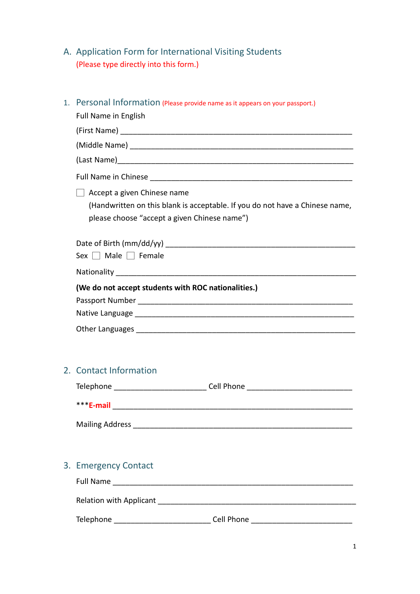A. Application Form for International Visiting Students (Please type directly into this form.)

| 1. Personal Information (Please provide name as it appears on your passport.)<br><b>Full Name in English</b>                                                |  |  |  |
|-------------------------------------------------------------------------------------------------------------------------------------------------------------|--|--|--|
|                                                                                                                                                             |  |  |  |
|                                                                                                                                                             |  |  |  |
|                                                                                                                                                             |  |  |  |
|                                                                                                                                                             |  |  |  |
| Accept a given Chinese name<br>(Handwritten on this blank is acceptable. If you do not have a Chinese name,<br>please choose "accept a given Chinese name") |  |  |  |
| Date of Birth ( $mm/dd/yy$ )                                                                                                                                |  |  |  |
| Sex $\Box$ Male $\Box$ Female                                                                                                                               |  |  |  |
|                                                                                                                                                             |  |  |  |
| (We do not accept students with ROC nationalities.)                                                                                                         |  |  |  |
|                                                                                                                                                             |  |  |  |
| 2. Contact Information                                                                                                                                      |  |  |  |
| Telephone _____________________________Cell Phone ______________________________                                                                            |  |  |  |
|                                                                                                                                                             |  |  |  |
|                                                                                                                                                             |  |  |  |
| 3. Emergency Contact                                                                                                                                        |  |  |  |
|                                                                                                                                                             |  |  |  |
|                                                                                                                                                             |  |  |  |
|                                                                                                                                                             |  |  |  |

Telephone \_\_\_\_\_\_\_\_\_\_\_\_\_\_\_\_\_\_\_\_\_\_\_ Cell Phone \_\_\_\_\_\_\_\_\_\_\_\_\_\_\_\_\_\_\_\_\_\_\_\_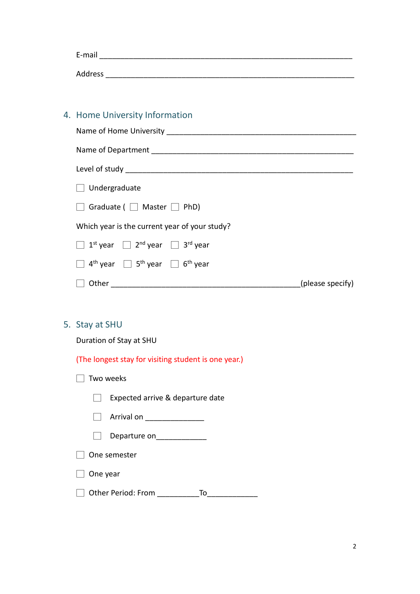| E-mail  |  |  |  |
|---------|--|--|--|
|         |  |  |  |
| Address |  |  |  |

# 4. Home University Information

| Name of Home University _______________                                             |  |  |  |
|-------------------------------------------------------------------------------------|--|--|--|
|                                                                                     |  |  |  |
|                                                                                     |  |  |  |
| $\Box$ Undergraduate                                                                |  |  |  |
| Graduate (   Master   PhD)                                                          |  |  |  |
| Which year is the current year of your study?                                       |  |  |  |
| $\Box$ 1 <sup>st</sup> year $\Box$ 2 <sup>nd</sup> year $\Box$ 3 <sup>rd</sup> year |  |  |  |
| $4^{\text{th}}$ year $\Box$ 5 <sup>th</sup> year $\Box$ 6 <sup>th</sup> year        |  |  |  |
| Other<br>(please specify)                                                           |  |  |  |

## 5. Stay at SHU

Duration of Stay at SHU

(The longest stay for visiting student is one year.)

|          | Two weeks                        |  |  |
|----------|----------------------------------|--|--|
|          | Expected arrive & departure date |  |  |
|          | Arrival on                       |  |  |
|          | Departure on                     |  |  |
|          | One semester                     |  |  |
| One year |                                  |  |  |
|          | <b>Other Period: From</b><br>To  |  |  |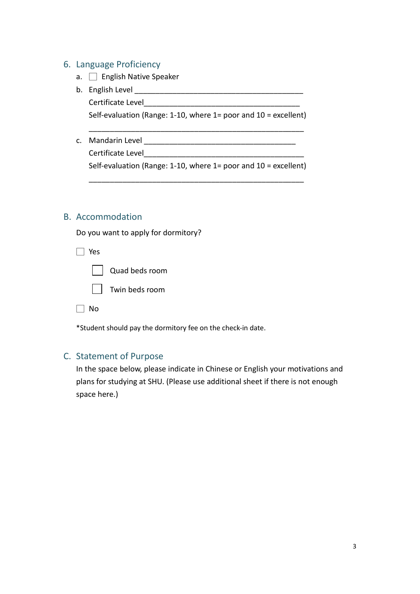#### 6. Language Proficiency

- a. **D** English Native Speaker
- b. English Level

Certificate Level

Self-evaluation (Range: 1-10, where 1= poor and 10 = excellent) \_\_\_\_\_\_\_\_\_\_\_\_\_\_\_\_\_\_\_\_\_\_\_\_\_\_\_\_\_\_\_\_\_\_\_\_\_\_\_\_\_\_\_\_\_\_\_\_\_\_\_

c. Mandarin Level \_\_\_\_\_\_\_\_\_\_\_\_\_\_\_\_\_\_\_\_\_\_\_\_\_\_\_\_\_\_\_\_\_\_\_\_

Certificate Level

Self-evaluation (Range: 1-10, where 1= poor and 10 = excellent) \_\_\_\_\_\_\_\_\_\_\_\_\_\_\_\_\_\_\_\_\_\_\_\_\_\_\_\_\_\_\_\_\_\_\_\_\_\_\_\_\_\_\_\_\_\_\_\_\_\_\_

#### B. Accommodation

Do you want to apply for dormitory?

| Yes |                |
|-----|----------------|
|     | Quad beds room |
|     | Twin beds room |
| N٥  |                |

\*Student should pay the dormitory fee on the check-in date.

#### C. Statement of Purpose

In the space below, please indicate in Chinese or English your motivations and plans for studying at SHU. (Please use additional sheet if there is not enough space here.)